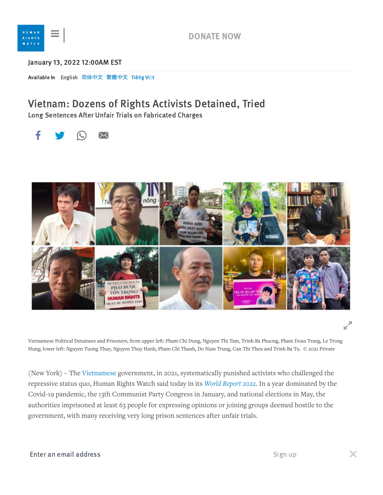

## [Janua](https://www.hrw.org/)ry 13, 2022 12:00AM EST

Available In [English](https://www.hrw.org/news/2022/01/13/vietnam-dozens-rights-activists-detained-tried) 简体中文 繁體中文 [Tiêng](https://www.hrw.org/vi/news/2022/01/13/vietnam-dozens-rights-activists-detained-tried) Việt

## Vietnam: Dozens of Rights Activists Detained, Tried

Long Sentences After Unfair Trials on Fabricated Charges





Vietnamese Political Detainees and Prisoners, from upper left: Pham Chi Dung, Nguyen Thi Tam, Trinh Ba Phuong, Pham Doan Trang, Le Trong Hung; lower left: Nguyen Tuong Thuy, Nguyen Thuy Hanh, Pham Chi Thanh, Do Nam Trung, Can Thi Theu and Trinh Ba Tu. © 2021 Private

(New York) – The [Vietnamese](https://www.hrw.org/world-report/2022/country-chapters/vietnam) government, in 2021, systematically punished activists who challenged the repressive status quo, Human Rights Watch said today in its *World [Report](https://www.hrw.org/world-report/2022) 2022*. In a year dominated by the Covid-19 pandemic, the 13th Communist Party Congress in January, and national elections in May, the authorities imprisoned at least 63 people for expressing opinions or joining groups deemed hostile to the government, with many receiving very long prison sentences after unfair trials.

## **Effect an email address** Watch. "The growing dissident with devastation with devastation with devastation with devastation with devastation of the growing distinguished with devastation with devastation with devastation w Enter an email address Sign up